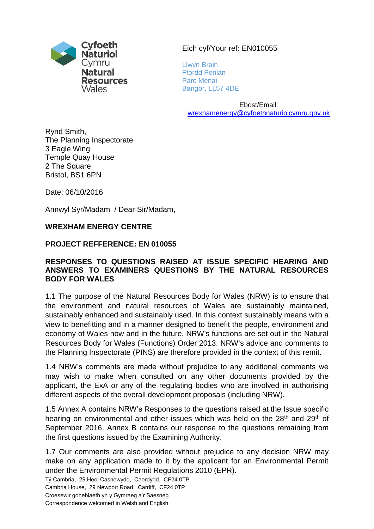

Eich cyf/Your ref: EN010055

Llwyn Brain Ffordd Penlan Parc Menai Bangor, LL57 4DE

Ebost/Email: [wrexhamenergy@cyfoethnaturiolcymru.gov.uk](mailto:wrexhamenergy@cyfoethnaturiolcymru.gov.uk)

Rynd Smith, The Planning Inspectorate 3 Eagle Wing Temple Quay House 2 The Square Bristol, BS1 6PN

Date: 06/10/2016

Annwyl Syr/Madam / Dear Sir/Madam,

#### **WREXHAM ENERGY CENTRE**

#### **PROJECT REFFERENCE: EN 010055**

#### **RESPONSES TO QUESTIONS RAISED AT ISSUE SPECIFIC HEARING AND ANSWERS TO EXAMINERS QUESTIONS BY THE NATURAL RESOURCES BODY FOR WALES**

1.1 The purpose of the Natural Resources Body for Wales (NRW) is to ensure that the environment and natural resources of Wales are sustainably maintained, sustainably enhanced and sustainably used. In this context sustainably means with a view to benefitting and in a manner designed to benefit the people, environment and economy of Wales now and in the future. NRW's functions are set out in the Natural Resources Body for Wales (Functions) Order 2013. NRW's advice and comments to the Planning Inspectorate (PINS) are therefore provided in the context of this remit.

1.4 NRW's comments are made without prejudice to any additional comments we may wish to make when consulted on any other documents provided by the applicant, the ExA or any of the regulating bodies who are involved in authorising different aspects of the overall development proposals (including NRW).

1.5 Annex A contains NRW's Responses to the questions raised at the Issue specific hearing on environmental and other issues which was held on the 28<sup>th</sup> and 29<sup>th</sup> of September 2016. Annex B contains our response to the questions remaining from the first questions issued by the Examining Authority.

1.7 Our comments are also provided without prejudice to any decision NRW may make on any application made to it by the applicant for an Environmental Permit under the Environmental Permit Regulations 2010 (EPR).

Tŷ Cambria, 29 Heol Casnewydd, Caerdydd, CF24 0TP Cambria House, 29 Newport Road, Cardiff, CF24 0TP Croesewir gohebiaeth yn y Gymraeg a'r Saesneg Correspondence welcomed in Welsh and English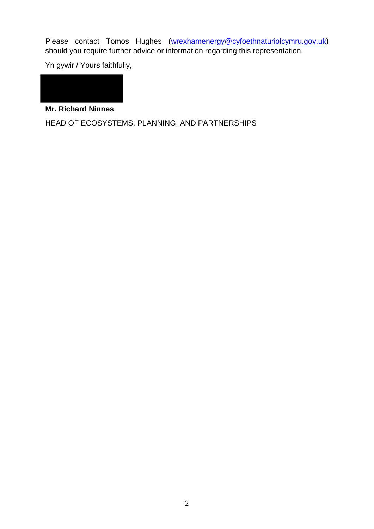Please contact Tomos Hughes [\(wrexhamenergy@cyfoethnaturiolcymru.gov.uk\)](mailto:wrexhamenergy@cyfoethnaturiolcymru.gov.uk) should you require further advice or information regarding this representation.

Yn gywir / Yours faithfully,



**Mr. Richard Ninnes** 

HEAD OF ECOSYSTEMS, PLANNING, AND PARTNERSHIPS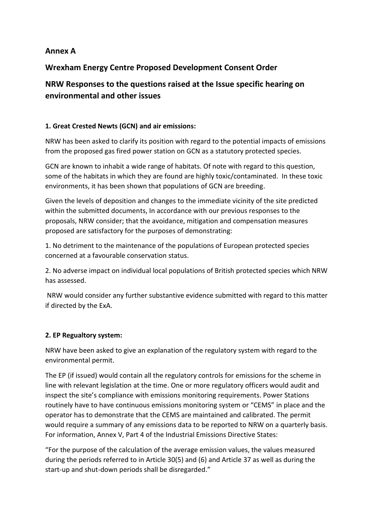## **Annex A**

## **Wrexham Energy Centre Proposed Development Consent Order**

# **NRW Responses to the questions raised at the Issue specific hearing on environmental and other issues**

#### **1. Great Crested Newts (GCN) and air emissions:**

NRW has been asked to clarify its position with regard to the potential impacts of emissions from the proposed gas fired power station on GCN as a statutory protected species.

GCN are known to inhabit a wide range of habitats. Of note with regard to this question, some of the habitats in which they are found are highly toxic/contaminated. In these toxic environments, it has been shown that populations of GCN are breeding.

Given the levels of deposition and changes to the immediate vicinity of the site predicted within the submitted documents, In accordance with our previous responses to the proposals, NRW consider; that the avoidance, mitigation and compensation measures proposed are satisfactory for the purposes of demonstrating:

1. No detriment to the maintenance of the populations of European protected species concerned at a favourable conservation status.

2. No adverse impact on individual local populations of British protected species which NRW has assessed.

NRW would consider any further substantive evidence submitted with regard to this matter if directed by the ExA.

#### **2. EP Regualtory system:**

NRW have been asked to give an explanation of the regulatory system with regard to the environmental permit.

The EP (if issued) would contain all the regulatory controls for emissions for the scheme in line with relevant legislation at the time. One or more regulatory officers would audit and inspect the site's compliance with emissions monitoring requirements. Power Stations routinely have to have continuous emissions monitoring system or "CEMS" in place and the operator has to demonstrate that the CEMS are maintained and calibrated. The permit would require a summary of any emissions data to be reported to NRW on a quarterly basis. For information, Annex V, Part 4 of the Industrial Emissions Directive States:

"For the purpose of the calculation of the average emission values, the values measured during the periods referred to in Article 30(5) and (6) and Article 37 as well as during the start-up and shut-down periods shall be disregarded."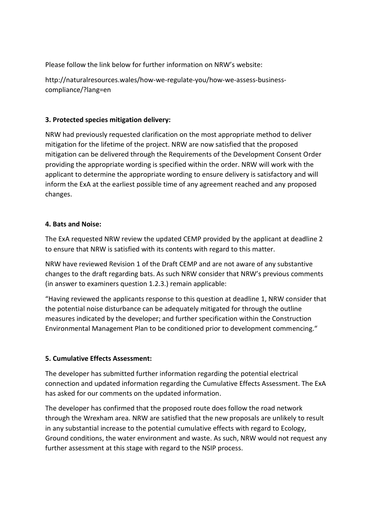Please follow the link below for further information on NRW's website:

http://naturalresources.wales/how-we-regulate-you/how-we-assess-businesscompliance/?lang=en

#### **3. Protected species mitigation delivery:**

NRW had previously requested clarification on the most appropriate method to deliver mitigation for the lifetime of the project. NRW are now satisfied that the proposed mitigation can be delivered through the Requirements of the Development Consent Order providing the appropriate wording is specified within the order. NRW will work with the applicant to determine the appropriate wording to ensure delivery is satisfactory and will inform the ExA at the earliest possible time of any agreement reached and any proposed changes.

#### **4. Bats and Noise:**

The ExA requested NRW review the updated CEMP provided by the applicant at deadline 2 to ensure that NRW is satisfied with its contents with regard to this matter.

NRW have reviewed Revision 1 of the Draft CEMP and are not aware of any substantive changes to the draft regarding bats. As such NRW consider that NRW's previous comments (in answer to examiners question 1.2.3.) remain applicable:

"Having reviewed the applicants response to this question at deadline 1, NRW consider that the potential noise disturbance can be adequately mitigated for through the outline measures indicated by the developer; and further specification within the Construction Environmental Management Plan to be conditioned prior to development commencing."

#### **5. Cumulative Effects Assessment:**

The developer has submitted further information regarding the potential electrical connection and updated information regarding the Cumulative Effects Assessment. The ExA has asked for our comments on the updated information.

The developer has confirmed that the proposed route does follow the road network through the Wrexham area. NRW are satisfied that the new proposals are unlikely to result in any substantial increase to the potential cumulative effects with regard to Ecology, Ground conditions, the water environment and waste. As such, NRW would not request any further assessment at this stage with regard to the NSIP process.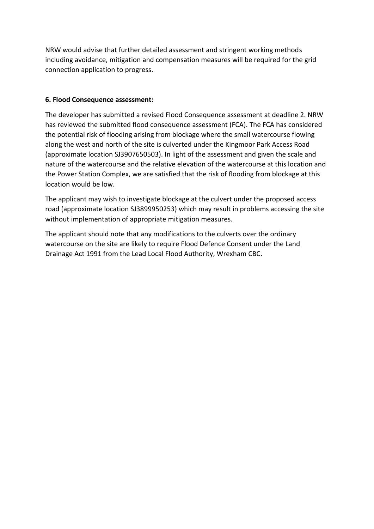NRW would advise that further detailed assessment and stringent working methods including avoidance, mitigation and compensation measures will be required for the grid connection application to progress.

#### **6. Flood Consequence assessment:**

The developer has submitted a revised Flood Consequence assessment at deadline 2. NRW has reviewed the submitted flood consequence assessment (FCA). The FCA has considered the potential risk of flooding arising from blockage where the small watercourse flowing along the west and north of the site is culverted under the Kingmoor Park Access Road (approximate location SJ3907650503). In light of the assessment and given the scale and nature of the watercourse and the relative elevation of the watercourse at this location and the Power Station Complex, we are satisfied that the risk of flooding from blockage at this location would be low.

The applicant may wish to investigate blockage at the culvert under the proposed access road (approximate location SJ3899950253) which may result in problems accessing the site without implementation of appropriate mitigation measures.

The applicant should note that any modifications to the culverts over the ordinary watercourse on the site are likely to require Flood Defence Consent under the Land Drainage Act 1991 from the Lead Local Flood Authority, Wrexham CBC.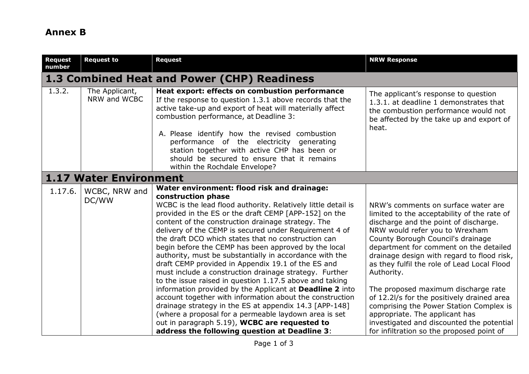# **Annex B**

| <b>Request</b><br>number | <b>Request to</b>                           | <b>Request</b>                                                                                                                                                                                                                                                                                                                                                                                                                                                                                                                                                                                                                                                                                                                                                                                                                                                                                                                                                                                                       | <b>NRW Response</b>                                                                                                                                                                                                                                                                                                                                                                                                                                                                                                                                                                                                 |  |  |  |  |
|--------------------------|---------------------------------------------|----------------------------------------------------------------------------------------------------------------------------------------------------------------------------------------------------------------------------------------------------------------------------------------------------------------------------------------------------------------------------------------------------------------------------------------------------------------------------------------------------------------------------------------------------------------------------------------------------------------------------------------------------------------------------------------------------------------------------------------------------------------------------------------------------------------------------------------------------------------------------------------------------------------------------------------------------------------------------------------------------------------------|---------------------------------------------------------------------------------------------------------------------------------------------------------------------------------------------------------------------------------------------------------------------------------------------------------------------------------------------------------------------------------------------------------------------------------------------------------------------------------------------------------------------------------------------------------------------------------------------------------------------|--|--|--|--|
|                          | 1.3 Combined Heat and Power (CHP) Readiness |                                                                                                                                                                                                                                                                                                                                                                                                                                                                                                                                                                                                                                                                                                                                                                                                                                                                                                                                                                                                                      |                                                                                                                                                                                                                                                                                                                                                                                                                                                                                                                                                                                                                     |  |  |  |  |
| 1.3.2.                   | The Applicant,<br>NRW and WCBC              | Heat export: effects on combustion performance<br>If the response to question 1.3.1 above records that the<br>active take-up and export of heat will materially affect<br>combustion performance, at Deadline 3:<br>A. Please identify how the revised combustion<br>performance of the electricity generating<br>station together with active CHP has been or<br>should be secured to ensure that it remains<br>within the Rochdale Envelope?                                                                                                                                                                                                                                                                                                                                                                                                                                                                                                                                                                       | The applicant's response to question<br>1.3.1. at deadline 1 demonstrates that<br>the combustion performance would not<br>be affected by the take up and export of<br>heat.                                                                                                                                                                                                                                                                                                                                                                                                                                         |  |  |  |  |
|                          | 1.17 Water Environment                      |                                                                                                                                                                                                                                                                                                                                                                                                                                                                                                                                                                                                                                                                                                                                                                                                                                                                                                                                                                                                                      |                                                                                                                                                                                                                                                                                                                                                                                                                                                                                                                                                                                                                     |  |  |  |  |
| 1.17.6.                  | WCBC, NRW and<br>DC/WW                      | Water environment: flood risk and drainage:<br>construction phase<br>WCBC is the lead flood authority. Relatively little detail is<br>provided in the ES or the draft CEMP [APP-152] on the<br>content of the construction drainage strategy. The<br>delivery of the CEMP is secured under Requirement 4 of<br>the draft DCO which states that no construction can<br>begin before the CEMP has been approved by the local<br>authority, must be substantially in accordance with the<br>draft CEMP provided in Appendix 19.1 of the ES and<br>must include a construction drainage strategy. Further<br>to the issue raised in question 1.17.5 above and taking<br>information provided by the Applicant at <b>Deadline 2</b> into<br>account together with information about the construction<br>drainage strategy in the ES at appendix 14.3 [APP-148]<br>(where a proposal for a permeable laydown area is set<br>out in paragraph 5.19), WCBC are requested to<br>address the following question at Deadline 3: | NRW's comments on surface water are<br>limited to the acceptability of the rate of<br>discharge and the point of discharge.<br>NRW would refer you to Wrexham<br>County Borough Council's drainage<br>department for comment on the detailed<br>drainage design with regard to flood risk,<br>as they fulfil the role of Lead Local Flood<br>Authority.<br>The proposed maximum discharge rate<br>of 12.2l/s for the positively drained area<br>comprising the Power Station Complex is<br>appropriate. The applicant has<br>investigated and discounted the potential<br>for infiltration so the proposed point of |  |  |  |  |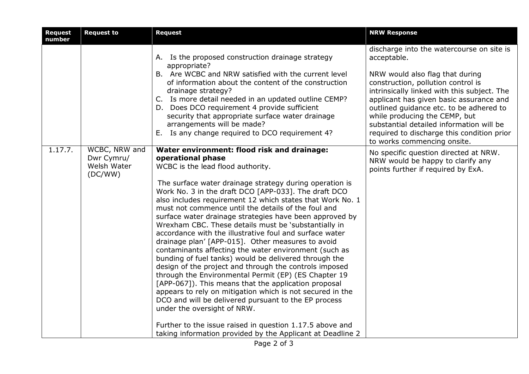| <b>Request</b><br>number | <b>Request to</b>                                     | <b>Request</b>                                                                                                                                                                                                                                                                                                                                                                                                                                                                                                                                                                                                                                                                                                                                                                                                                                                                                                                                                                                                                                                                                                                                            | <b>NRW Response</b>                                                                                                                                                                                                                                                                                                                                                                                                              |
|--------------------------|-------------------------------------------------------|-----------------------------------------------------------------------------------------------------------------------------------------------------------------------------------------------------------------------------------------------------------------------------------------------------------------------------------------------------------------------------------------------------------------------------------------------------------------------------------------------------------------------------------------------------------------------------------------------------------------------------------------------------------------------------------------------------------------------------------------------------------------------------------------------------------------------------------------------------------------------------------------------------------------------------------------------------------------------------------------------------------------------------------------------------------------------------------------------------------------------------------------------------------|----------------------------------------------------------------------------------------------------------------------------------------------------------------------------------------------------------------------------------------------------------------------------------------------------------------------------------------------------------------------------------------------------------------------------------|
|                          |                                                       | A. Is the proposed construction drainage strategy<br>appropriate?<br>B. Are WCBC and NRW satisfied with the current level<br>of information about the content of the construction<br>drainage strategy?<br>C. Is more detail needed in an updated outline CEMP?<br>D. Does DCO requirement 4 provide sufficient<br>security that appropriate surface water drainage<br>arrangements will be made?<br>E. Is any change required to DCO requirement 4?                                                                                                                                                                                                                                                                                                                                                                                                                                                                                                                                                                                                                                                                                                      | discharge into the watercourse on site is<br>acceptable.<br>NRW would also flag that during<br>construction, pollution control is<br>intrinsically linked with this subject. The<br>applicant has given basic assurance and<br>outlined guidance etc. to be adhered to<br>while producing the CEMP, but<br>substantial detailed information will be<br>required to discharge this condition prior<br>to works commencing onsite. |
| 1.17.7.                  | WCBC, NRW and<br>Dwr Cymru/<br>Welsh Water<br>(DC/WW) | Water environment: flood risk and drainage:<br>operational phase<br>WCBC is the lead flood authority.<br>The surface water drainage strategy during operation is<br>Work No. 3 in the draft DCO [APP-033]. The draft DCO<br>also includes requirement 12 which states that Work No. 1<br>must not commence until the details of the foul and<br>surface water drainage strategies have been approved by<br>Wrexham CBC. These details must be 'substantially in<br>accordance with the illustrative foul and surface water<br>drainage plan' [APP-015]. Other measures to avoid<br>contaminants affecting the water environment (such as<br>bunding of fuel tanks) would be delivered through the<br>design of the project and through the controls imposed<br>through the Environmental Permit (EP) (ES Chapter 19<br>[APP-067]). This means that the application proposal<br>appears to rely on mitigation which is not secured in the<br>DCO and will be delivered pursuant to the EP process<br>under the oversight of NRW.<br>Further to the issue raised in question 1.17.5 above and<br>taking information provided by the Applicant at Deadline 2 | No specific question directed at NRW.<br>NRW would be happy to clarify any<br>points further if required by ExA.                                                                                                                                                                                                                                                                                                                 |